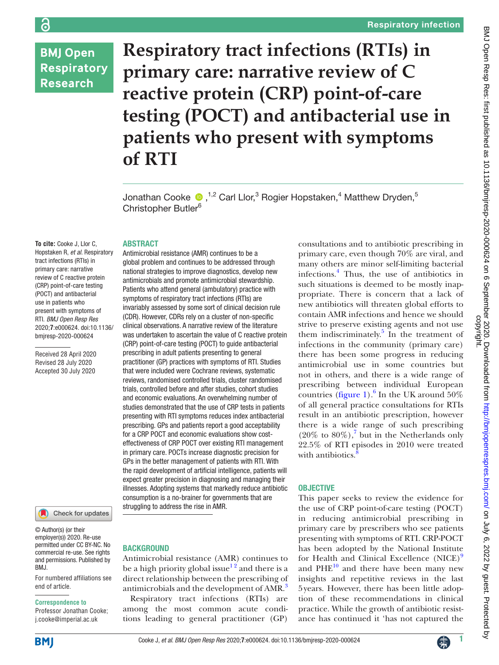# **BMJ Open Respiratory Research**

ခြ

**Respiratory tract infections (RTIs) in primary care: narrative review of C reactive protein (CRP) point-of-care testing (POCT) and antibacterial use in patients who present with symptoms of RTI**

Jonathan Cooke  $\bullet$  ,<sup>1,2</sup> Carl Llor,<sup>3</sup> Rogier Hopstaken,<sup>4</sup> Matthew Dryden,<sup>5</sup> Christopher Butler<sup>6</sup>

### ABSTRACT

Antimicrobial resistance (AMR) continues to be a global problem and continues to be addressed through national strategies to improve diagnostics, develop new antimicrobials and promote antimicrobial stewardship. Patients who attend general (ambulatory) practice with symptoms of respiratory tract infections (RTIs) are invariably assessed by some sort of clinical decision rule (CDR). However, CDRs rely on a cluster of non-specific clinical observations. A narrative review of the literature was undertaken to ascertain the value of C reactive protein (CRP) point-of-care testing (POCT) to guide antibacterial prescribing in adult patients presenting to general practitioner (GP) practices with symptoms of RTI. Studies that were included were Cochrane reviews, systematic reviews, randomised controlled trials, cluster randomised trials, controlled before and after studies, cohort studies and economic evaluations. An overwhelming number of studies demonstrated that the use of CRP tests in patients presenting with RTI symptoms reduces index antibacterial prescribing. GPs and patients report a good acceptability for a CRP POCT and economic evaluations show costeffectiveness of CRP POCT over existing RTI management in primary care. POCTs increase diagnostic precision for GPs in the better management of patients with RTI. With the rapid development of artificial intelligence, patients will expect greater precision in diagnosing and managing their illnesses. Adopting systems that markedly reduce antibiotic consumption is a no-brainer for governments that are

**To cite:** Cooke J, Llor C, Hopstaken R, *et al*. Respiratory tract infections (RTIs) in primary care: narrative review of C reactive protein (CRP) point-of-care testing (POCT) and antibacterial use in patients who present with symptoms of RTI. *BMJ Open Resp Res* 2020;**7**:e000624. doi:10.1136/ bmjresp-2020-000624

Received 28 April 2020 Revised 28 July 2020 Accepted 30 July 2020



© Author(s) (or their employer(s)) 2020. Re-use permitted under CC BY-NC. No commercial re-use. See rights and permissions. Published by RM<sub>J</sub>

For numbered affiliations see end of article.

#### **Correspondence to**

Professor Jonathan Cooke; j.cooke@imperial.ac.uk

**BACKGROUND** 

struggling to address the rise in AMR.

Antimicrobial resistance (AMR) continues to be a high priority global issue<sup>12</sup> and there is a direct relationship between the prescribing of antimicrobials and the development of AMR.<sup>3</sup>

Respiratory tract infections (RTIs) are among the most common acute conditions leading to general practitioner (GP)

consultations and to antibiotic prescribing in primary care, even though 70% are viral, and many others are minor self-limiting bacterial infections.[4](#page-5-2) Thus, the use of antibiotics in such situations is deemed to be mostly inappropriate. There is concern that a lack of new antibiotics will threaten global efforts to contain AMR infections and hence we should strive to preserve existing agents and not use them indiscriminately. $\frac{5}{3}$  In the treatment of infections in the community (primary care) there has been some progress in reducing antimicrobial use in some countries but not in others, and there is a wide range of prescribing between individual European countries [\(figure](#page-1-0) 1).<sup>6</sup> In the UK around  $50\%$ of all general practice consultations for RTIs result in an antibiotic prescription, however there is a wide range of such prescribing  $(20\% \text{ to } 80\%),^7 \text{ but in the Netherlands only}$  $(20\% \text{ to } 80\%),^7 \text{ but in the Netherlands only}$  $(20\% \text{ to } 80\%),^7 \text{ but in the Netherlands only}$ 22.5% of RTI episodes in 2010 were treated with antibiotics.

### **OBJECTIVE**

This paper seeks to review the evidence for the use of CRP point-of-care testing (POCT) in reducing antimicrobial prescribing in primary care by prescribers who see patients presenting with symptoms of RTI. CRP-POCT has been adopted by the National Institute for Health and Clinical Excellence (NICE)<sup>[9](#page-5-7)</sup> and  $PHE^{10}$  and there have been many new insights and repetitive reviews in the last 5years. However, there has been little adoption of these recommendations in clinical practice. While the growth of antibiotic resistance has continued it 'has not captured the

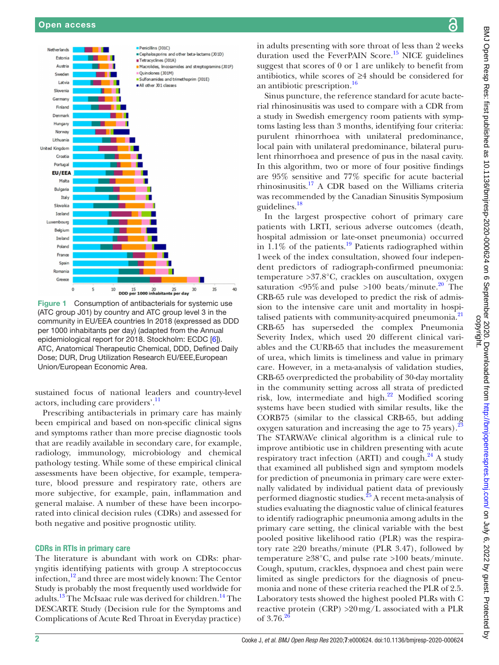

<span id="page-1-0"></span>Figure 1 Consumption of antibacterials for systemic use (ATC group J01) by country and ATC group level 3 in the community in EU/EEA countries In 2018 (expressed as DDD per 1000 inhabitants per day) (adapted from the Annual epidemiological report for 2018. Stockholm: ECDC [\[6](#page-5-4)]). ATC, Anatomical Therapeutic Chemical, DDD, Defined Daily Dose; DUR, Drug Utilization Research EU/EEE,European Union/European Economic Area.

sustained focus of national leaders and country-level actors, including care providers'.<sup>[11](#page-5-9)</sup>

Prescribing antibacterials in primary care has mainly been empirical and based on non-specific clinical signs and symptoms rather than more precise diagnostic tools that are readily available in secondary care, for example, radiology, immunology, microbiology and chemical pathology testing. While some of these empirical clinical assessments have been objective, for example, temperature, blood pressure and respiratory rate, others are more subjective, for example, pain, inflammation and general malaise. A number of these have been incorporated into clinical decision rules (CDRs) and assessed for both negative and positive prognostic utility.

## CDRs in RTIs in primary care

The literature is abundant with work on CDRs: pharyngitis identifying patients with group A streptococcus infection, $12$  and three are most widely known: The Centor Study is probably the most frequently used worldwide for adults.<sup>[13](#page-5-11)</sup> The McIsaac rule was derived for children.<sup>14</sup> The DESCARTE Study (Decision rule for the Symptoms and Complications of Acute Red Throat in Everyday practice)

in adults presenting with sore throat of less than 2 weeks duration used the FeverPAIN Score.<sup>15</sup> NICE guidelines suggest that scores of 0 or 1 are unlikely to benefit from antibiotics, while scores of ≥4 should be considered for an antibiotic prescription.<sup>16</sup>

Sinus puncture, the reference standard for acute bacterial rhinosinusitis was used to compare with a CDR from a study in Swedish emergency room patients with symptoms lasting less than 3 months, identifying four criteria: purulent rhinorrhoea with unilateral predominance, local pain with unilateral predominance, bilateral purulent rhinorrhoea and presence of pus in the nasal cavity. In this algorithm, two or more of four positive findings are 95% sensitive and 77% specific for acute bacterial rhinosinusitis.[17](#page-5-15) A CDR based on the Williams criteria was recommended by the Canadian Sinusitis Symposium guidelines[.18](#page-5-16)

In the largest prospective cohort of primary care patients with LRTI, serious adverse outcomes (death, hospital admission or late-onset pneumonia) occurred in  $1.1\%$  of the patients.<sup>[19](#page-5-17)</sup> Patients radiographed within 1week of the index consultation, showed four independent predictors of radiograph-confirmed pneumonia: temperature >37.8°C, crackles on auscultation, oxygen saturation  $\langle 95\% \rangle$  and pulse  $>100$  beats/minute.<sup>[20](#page-5-18)</sup> The CRB-65 rule was developed to predict the risk of admission to the intensive care unit and mortality in hospi-talised patients with community-acquired pneumonia.<sup>[21](#page-5-19)</sup> CRB-65 has superseded the complex Pneumonia Severity Index, which used 20 different clinical variables and the CURB-65 that includes the measurement of urea, which limits is timeliness and value in primary care. However, in a meta-analysis of validation studies, CRB-65 overpredicted the probability of 30-day mortality in the community setting across all strata of predicted risk, low, intermediate and high.<sup>[22](#page-5-20)</sup> Modified scoring systems have been studied with similar results, like the CORB75 (similar to the classical CRB-65, but adding oxygen saturation and increasing the age to 75 years).<sup>[23](#page-5-21)</sup> The STARWAVe clinical algorithm is a clinical rule to improve antibiotic use in children presenting with acute respiratory tract infection (ARTI) and cough. $^{24}$  $^{24}$  $^{24}$  A study that examined all published sign and symptom models for prediction of pneumonia in primary care were externally validated by individual patient data of previously performed diagnostic studies.[25](#page-5-23) A recent meta-analysis of studies evaluating the diagnostic value of clinical features to identify radiographic pneumonia among adults in the primary care setting, the clinical variable with the best pooled positive likelihood ratio (PLR) was the respiratory rate  $\geq 20$  breaths/minute (PLR 3.47), followed by temperature  $\geq 38^{\circ}$ C, and pulse rate >100 beats/minute. Cough, sputum, crackles, dyspnoea and chest pain were limited as single predictors for the diagnosis of pneumonia and none of these criteria reached the PLR of 2.5. Laboratory tests showed the highest pooled PLRs with C reactive protein  $(CRP) > 20 \,\text{mg/L}$  associated with a PLR of  $3.76.2$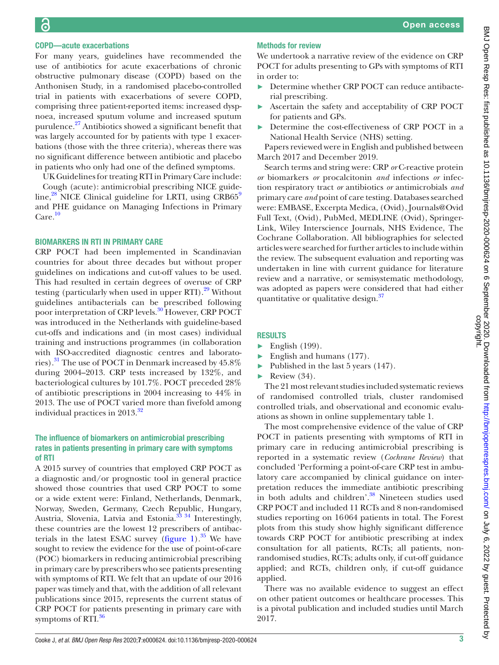## COPD—acute exacerbations

For many years, guidelines have recommended the use of antibiotics for acute exacerbations of chronic obstructive pulmonary disease (COPD) based on the Anthonisen Study, in a randomised placebo-controlled trial in patients with exacerbations of severe COPD, comprising three patient-reported items: increased dyspnoea, increased sputum volume and increased sputum purulence.<sup>27</sup> Antibiotics showed a significant benefit that was largely accounted for by patients with type 1 exacerbations (those with the three criteria), whereas there was no significant difference between antibiotic and placebo in patients who only had one of the defined symptoms.

UK Guidelines for treating RTI in Primary Care include: Cough (acute): antimicrobial prescribing NICE guideline, $^{28}$  NICE Clinical guideline for LRTI, using CRB65 $^9$  $^9$ and PHE guidance on Managing Infections in Primary  $Care.<sup>10</sup>$  $Care.<sup>10</sup>$  $Care.<sup>10</sup>$ 

## BIOMARKERS IN RTI IN PRIMARY CARE

CRP POCT had been implemented in Scandinavian countries for about three decades but without proper guidelines on indications and cut-off values to be used. This had resulted in certain degrees of overuse of CRP testing (particularly when used in upper  $\text{RTI}$ ).<sup>[29](#page-6-0)</sup> Without guidelines antibacterials can be prescribed following poor interpretation of CRP levels.<sup>30</sup> However, CRP POCT was introduced in the Netherlands with guideline-based cut-offs and indications and (in most cases) individual training and instructions programmes (in collaboration with ISO-accredited diagnostic centres and laboratories).[31](#page-6-2) The use of POCT in Denmark increased by 45.8% during 2004–2013. CRP tests increased by 132%, and bacteriological cultures by 101.7%. POCT preceded 28% of antibiotic prescriptions in 2004 increasing to 44% in 2013. The use of POCT varied more than fivefold among individual practices in 2013.<sup>32</sup>

# The influence of biomarkers on antimicrobial prescribing rates in patients presenting in primary care with symptoms of RTI

A 2015 survey of countries that employed CRP POCT as a diagnostic and/or prognostic tool in general practice showed those countries that used CRP POCT to some or a wide extent were: Finland, Netherlands, Denmark, Norway, Sweden, Germany, Czech Republic, Hungary, Austria, Slovenia, Latvia and Estonia.<sup>[33 34](#page-6-4)</sup> Interestingly, these countries are the lowest 12 prescribers of antibacterials in the latest ESAC survey ([figure](#page-1-0) 1). $35$  We have sought to review the evidence for the use of point-of-care (POC) biomarkers in reducing antimicrobial prescribing in primary care by prescribers who see patients presenting with symptoms of RTI. We felt that an update of our 2016 paper was timely and that, with the addition of all relevant publications since 2015, represents the current status of CRP POCT for patients presenting in primary care with symptoms of  $RTI$ .<sup>[36](#page-6-6)</sup>

## Methods for review

We undertook a narrative review of the evidence on CRP POCT for adults presenting to GPs with symptoms of RTI in order to:

- ► Determine whether CRP POCT can reduce antibacterial prescribing.
- ► Ascertain the safety and acceptability of CRP POCT for patients and GPs.
- ► Determine the cost-effectiveness of CRP POCT in a National Health Service (NHS) setting.

Papers reviewed were in English and published between March 2017 and December 2019.

Search terms and string were: CRP *or* C-reactive protein *or* biomarkers *or* procalcitonin *and* infections *or* infection respiratory tract *or* antibiotics *or* antimicrobials *and* primary care *and* point of care testing. Databases searched were: EMBASE, Excerpta Medica, (Ovid), Journals@Ovid Full Text, (Ovid), PubMed, MEDLINE (Ovid), Springer-Link, Wiley Interscience Journals, NHS Evidence, The Cochrane Collaboration. All bibliographies for selected articles were searched for further articles to include within the review. The subsequent evaluation and reporting was undertaken in line with current guidance for literature review and a narrative, or semisystematic methodology, was adopted as papers were considered that had either quantitative or qualitative design.<sup>[37](#page-6-7)</sup>

# RESULTS

- $\blacktriangleright$  English (199).
- $\blacktriangleright$  English and humans (177).
- $\blacktriangleright$  Published in the last 5 years (147).
- $\blacktriangleright$  Review (34).

The 21 most relevant studies included systematic reviews of randomised controlled trials, cluster randomised controlled trials, and observational and economic evaluations as shown in [online supplementary table 1](https://dx.doi.org/10.1136/bmjresp-2020-000624).

The most comprehensive evidence of the value of CRP POCT in patients presenting with symptoms of RTI in primary care in reducing antimicrobial prescribing is reported in a systematic review (*Cochrane Review*) that concluded 'Performing a point-of-care CRP test in ambulatory care accompanied by clinical guidance on interpretation reduces the immediate antibiotic prescribing in both adults and children'.<sup>38</sup> Nineteen studies used CRP POCT and included 11 RCTs and 8 non-randomised studies reporting on 16064 patients in total. The Forest plots from this study show highly significant difference towards CRP POCT for antibiotic prescribing at index consultation for all patients, RCTs; all patients, nonrandomised studies, RCTs; adults only, if cut-off guidance applied; and RCTs, children only, if cut-off guidance applied.

There was no available evidence to suggest an effect on other patient outcomes or healthcare processes. This is a pivotal publication and included studies until March 2017.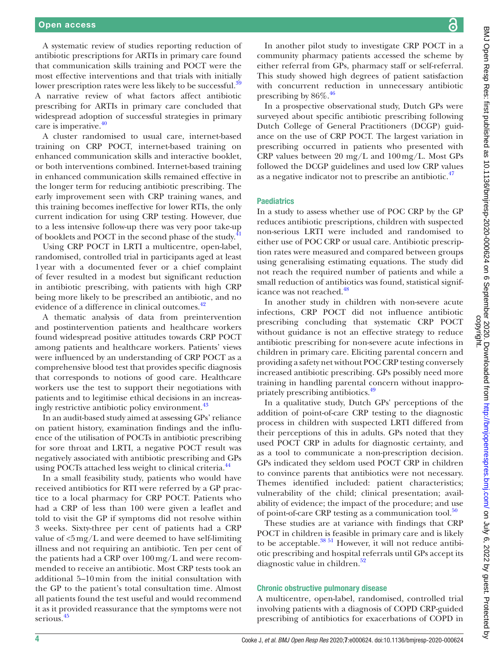A systematic review of studies reporting reduction of antibiotic prescriptions for ARTIs in primary care found that communication skills training and POCT were the most effective interventions and that trials with initially lower prescription rates were less likely to be successful.<sup>39</sup> A narrative review of what factors affect antibiotic prescribing for ARTIs in primary care concluded that widespread adoption of successful strategies in primary care is imperative. $40$ 

A cluster randomised to usual care, internet-based training on CRP POCT, internet-based training on enhanced communication skills and interactive booklet, or both interventions combined. Internet-based training in enhanced communication skills remained effective in the longer term for reducing antibiotic prescribing. The early improvement seen with CRP training wanes, and this training becomes ineffective for lower RTIs, the only current indication for using CRP testing. However, due to a less intensive follow-up there was very poor take-up of booklets and POCT in the second phase of the study.<sup>[41](#page-6-11)</sup>

Using CRP POCT in LRTI a multicentre, open-label, randomised, controlled trial in participants aged at least 1year with a documented fever or a chief complaint of fever resulted in a modest but significant reduction in antibiotic prescribing, with patients with high CRP being more likely to be prescribed an antibiotic, and no evidence of a difference in clinical outcomes.<sup>[42](#page-6-12)</sup>

A thematic analysis of data from preintervention and postintervention patients and healthcare workers found widespread positive attitudes towards CRP POCT among patients and healthcare workers. Patients' views were influenced by an understanding of CRP POCT as a comprehensive blood test that provides specific diagnosis that corresponds to notions of good care. Healthcare workers use the test to support their negotiations with patients and to legitimise ethical decisions in an increasingly restrictive antibiotic policy environment.<sup>43</sup>

In an audit-based study aimed at assessing GPs' reliance on patient history, examination findings and the influence of the utilisation of POCTs in antibiotic prescribing for sore throat and LRTI, a negative POCT result was negatively associated with antibiotic prescribing and GPs using POCTs attached less weight to clinical criteria.<sup>44</sup>

In a small feasibility study, patients who would have received antibiotics for RTI were referred by a GP practice to a local pharmacy for CRP POCT. Patients who had a CRP of less than 100 were given a leaflet and told to visit the GP if symptoms did not resolve within 3 weeks. Sixty-three per cent of patients had a CRP value of  $\langle 5 \text{ mg/L} \rangle$  and were deemed to have self-limiting illness and not requiring an antibiotic. Ten per cent of the patients had a CRP over 100 mg/L and were recommended to receive an antibiotic. Most CRP tests took an additional 5–10 min from the initial consultation with the GP to the patient's total consultation time. Almost all patients found the test useful and would recommend it as it provided reassurance that the symptoms were not serious.<sup>[45](#page-6-15)</sup>

In another pilot study to investigate CRP POCT in a community pharmacy patients accessed the scheme by either referral from GPs, pharmacy staff or self-referral. This study showed high degrees of patient satisfaction with concurrent reduction in unnecessary antibiotic prescribing by  $86\%$ <sup>46</sup>

In a prospective observational study, Dutch GPs were surveyed about specific antibiotic prescribing following Dutch College of General Practitioners (DCGP) guidance on the use of CRP POCT. The largest variation in prescribing occurred in patients who presented with CRP values between 20 mg/L and 100mg/L. Most GPs followed the DCGP guidelines and used low CRP values as a negative indicator not to prescribe an antibiotic. $47$ 

### **Paediatrics**

In a study to assess whether use of POC CRP by the GP reduces antibiotic prescriptions, children with suspected non-serious LRTI were included and randomised to either use of POC CRP or usual care. Antibiotic prescription rates were measured and compared between groups using generalising estimating equations. The study did not reach the required number of patients and while a small reduction of antibiotics was found, statistical signif-icance was not reached.<sup>[48](#page-6-18)</sup>

In another study in children with non-severe acute infections, CRP POCT did not influence antibiotic prescribing concluding that systematic CRP POCT without guidance is not an effective strategy to reduce antibiotic prescribing for non-severe acute infections in children in primary care. Eliciting parental concern and providing a safety net without POC CRP testing conversely increased antibiotic prescribing. GPs possibly need more training in handling parental concern without inappro-priately prescribing antibiotics.<sup>[49](#page-6-19)</sup>

In a qualitative study, Dutch GPs' perceptions of the addition of point-of-care CRP testing to the diagnostic process in children with suspected LRTI differed from their perceptions of this in adults. GPs noted that they used POCT CRP in adults for diagnostic certainty, and as a tool to communicate a non-prescription decision. GPs indicated they seldom used POCT CRP in children to convince parents that antibiotics were not necessary. Themes identified included: patient characteristics; vulnerability of the child; clinical presentation; availability of evidence; the impact of the procedure; and use of point-of-care CRP testing as a communication tool.<sup>50</sup>

These studies are at variance with findings that CRP POCT in children is feasible in primary care and is likely to be acceptable.<sup>38 51</sup> However, it will not reduce antibiotic prescribing and hospital referrals until GPs accept its diagnostic value in children.<sup>52</sup>

#### Chronic obstructive pulmonary disease

A multicentre, open-label, randomised, controlled trial involving patients with a diagnosis of COPD CRP-guided prescribing of antibiotics for exacerbations of COPD in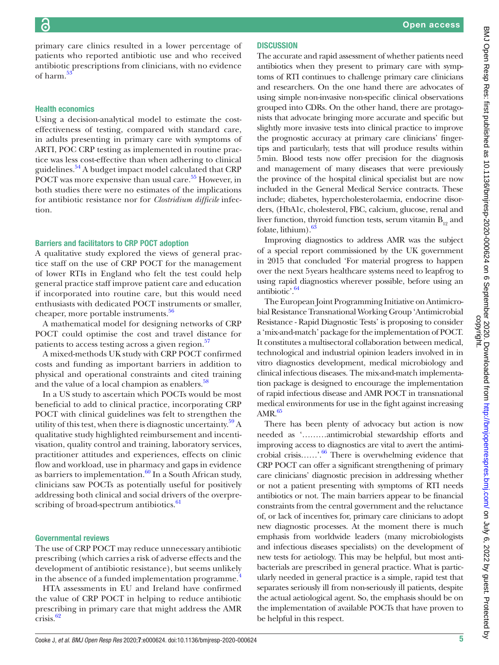primary care clinics resulted in a lower percentage of patients who reported antibiotic use and who received antibiotic prescriptions from clinicians, with no evidence of harm. $\frac{5}{3}$ 

### Health economics

Using a decision-analytical model to estimate the costeffectiveness of testing, compared with standard care, in adults presenting in primary care with symptoms of ARTI, POC CRP testing as implemented in routine practice was less cost-effective than when adhering to clinical guidelines[.54](#page-6-23) A budget impact model calculated that CRP POCT was more expensive than usual care.<sup>55</sup> However, in both studies there were no estimates of the implications for antibiotic resistance nor for *Clostridium difficile* infection.

#### Barriers and facilitators to CRP POCT adoption

A qualitative study explored the views of general practice staff on the use of CRP POCT for the management of lower RTIs in England who felt the test could help general practice staff improve patient care and education if incorporated into routine care, but this would need enthusiasts with dedicated POCT instruments or smaller, cheaper, more portable instruments.<sup>56</sup>

A mathematical model for designing networks of CRP POCT could optimise the cost and travel distance for patients to access testing across a given region.<sup>[57](#page-6-26)</sup>

A mixed-methods UK study with CRP POCT confirmed costs and funding as important barriers in addition to physical and operational constraints and cited training and the value of a local champion as enablers.<sup>58</sup>

In a US study to ascertain which POCTs would be most beneficial to add to clinical practice, incorporating CRP POCT with clinical guidelines was felt to strengthen the utility of this test, when there is diagnostic uncertainty. $59\text{ A}$ qualitative study highlighted reimbursement and incentivisation, quality control and training, laboratory services, practitioner attitudes and experiences, effects on clinic flow and workload, use in pharmacy and gaps in evidence as barriers to implementation. $60$  In a South African study, clinicians saw POCTs as potentially useful for positively addressing both clinical and social drivers of the overpre-scribing of broad-spectrum antibiotics.<sup>[61](#page-6-30)</sup>

#### Governmental reviews

The use of CRP POCT may reduce unnecessary antibiotic prescribing (which carries a risk of adverse effects and the development of antibiotic resistance), but seems unlikely in the absence of a funded implementation programme.<sup>[4](#page-5-2)</sup>

HTA assessments in EU and Ireland have confirmed the value of CRP POCT in helping to reduce antibiotic prescribing in primary care that might address the AMR crisis.<sup>[62](#page-6-31)</sup>

The accurate and rapid assessment of whether patients need antibiotics when they present to primary care with symptoms of RTI continues to challenge primary care clinicians and researchers. On the one hand there are advocates of using simple non-invasive non-specific clinical observations grouped into CDRs. On the other hand, there are protagonists that advocate bringing more accurate and specific but slightly more invasive tests into clinical practice to improve the prognostic accuracy at primary care clinicians' fingertips and particularly, tests that will produce results within 5min. Blood tests now offer precision for the diagnosis and management of many diseases that were previously the province of the hospital clinical specialist but are now included in the General Medical Service contracts. These include; diabetes, hypercholesterolaemia, endocrine disorders, (HbA1c, cholesterol, FBC, calcium, glucose, renal and liver function, thyroid function tests, serum vitamin  $B_{12}$  and folate, lithium $\frac{63}{5}$ 

Improving diagnostics to address AMR was the subject of a special report commissioned by the UK government in 2015 that concluded 'For material progress to happen over the next 5years healthcare systems need to leapfrog to using rapid diagnostics wherever possible, before using an antibiotic'. $64$ 

The European Joint Programming Initiative on Antimicrobial Resistance Transnational Working Group 'Antimicrobial Resistance - Rapid Diagnostic Tests' is proposing to consider a 'mix-and-match' package for the implementation of POCT. It constitutes a multisectoral collaboration between medical, technological and industrial opinion leaders involved in in vitro diagnostics development, medical microbiology and clinical infectious diseases. The mix-and-match implementation package is designed to encourage the implementation of rapid infectious disease and AMR POCT in transnational medical environments for use in the fight against increasing  $AMR.<sup>65</sup>$ 

There has been plenty of advocacy but action is now needed as '………antimicrobial stewardship efforts and improving access to diagnostics are vital to avert the antimicrobial crisis……'.<sup>66</sup> There is overwhelming evidence that CRP POCT can offer a significant strengthening of primary care clinicians' diagnostic precision in addressing whether or not a patient presenting with symptoms of RTI needs antibiotics or not. The main barriers appear to be financial constraints from the central government and the reluctance of, or lack of incentives for, primary care clinicians to adopt new diagnostic processes. At the moment there is much emphasis from worldwide leaders (many microbiologists and infectious diseases specialists) on the development of new tests for aetiology. This may be helpful, but most antibacterials are prescribed in general practice. What is particularly needed in general practice is a simple, rapid test that separates seriously ill from non-seriously ill patients, despite the actual aetiological agent. So, the emphasis should be on the implementation of available POCTs that have proven to be helpful in this respect.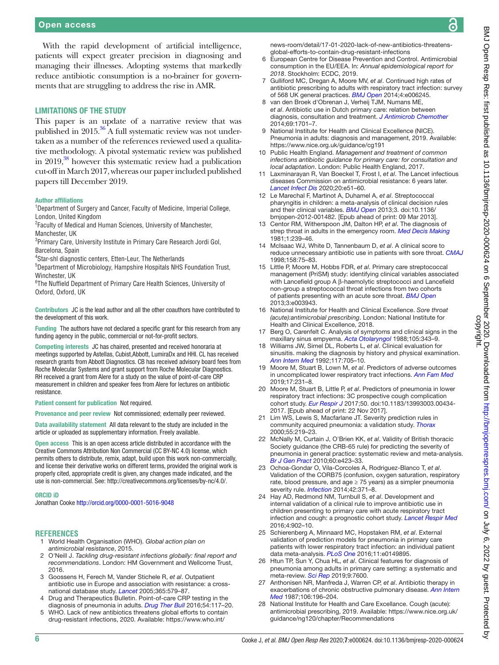# Open access

With the rapid development of artificial intelligence, patients will expect greater precision in diagnosing and managing their illnesses. Adopting systems that markedly reduce antibiotic consumption is a no-brainer for governments that are struggling to address the rise in AMR.

#### LIMITATIONS OF THE STUDY

This paper is an update of a narrative review that was published in  $2015^{36}$  A full systematic review was not undertaken as a number of the references reviewed used a qualitative methodology. A pivotal systematic review was published in 2019,<sup>[38](#page-6-8)</sup> however this systematic review had a publication cut-off in March 2017, whereas our paper included published papers till December 2019.

#### Author affiliations

<sup>1</sup>Department of Surgery and Cancer, Faculty of Medicine, Imperial College, London, United Kingdom

<sup>2</sup> Faculty of Medical and Human Sciences, University of Manchester, Manchester, IIK

<sup>3</sup>Primary Care, University Institute in Primary Care Research Jordi Gol, Barcelona, Spain

4 Star-shl diagnostic centers, Etten-Leur, The Netherlands

5 Department of Microbiology, Hampshire Hospitals NHS Foundation Trust, Winchester, UK

6 The Nuffield Department of Primary Care Health Sciences, University of Oxford, Oxford, UK

Contributors JC is the lead author and all the other coauthors have contributed to the development of this work.

Funding The authors have not declared a specific grant for this research from any funding agency in the public, commercial or not-for-profit sectors.

Competing interests JC has chaired, presented and received honoraria at meetings supported by Astellas, Cubist,Abbott, LumiraDx and HHI. CL has received research grants from Abbott Diagnostics. CB has received advisory board fees from Roche Molecular Systems and grant support from Roche Molecular Diagnostics. RH received a grant from Alere for a study on the value of point-of-care CRP measurement in children and speaker fees from Alere for lectures on antibiotic resistance.

Patient consent for publication Not required.

Provenance and peer review Not commissioned; externally peer reviewed.

Data availability statement All data relevant to the study are included in the article or uploaded as supplementary information. Freely available.

Open access This is an open access article distributed in accordance with the Creative Commons Attribution Non Commercial (CC BY-NC 4.0) license, which permits others to distribute, remix, adapt, build upon this work non-commercially, and license their derivative works on different terms, provided the original work is properly cited, appropriate credit is given, any changes made indicated, and the use is non-commercial. See:<http://creativecommons.org/licenses/by-nc/4.0/>.

#### ORCID iD

Jonathan Cooke <http://orcid.org/0000-0001-5016-9048>

#### **REFERENCES**

- <span id="page-5-0"></span>1 World Health Organisation (WHO). *Global action plan on antimicrobial resistance*, 2015.
- 2 O'Neill J. *Tackling drug-resistant infections globally: final report and recommendations*. London: HM Government and Wellcome Trust, 2016.
- <span id="page-5-1"></span>3 Goossens H, Ferech M, Vander Stichele R, *et al*. Outpatient antibiotic use in Europe and association with resistance: a crossnational database study. *[Lancet](http://dx.doi.org/10.1016/S0140-6736(05)70799-6)* 2005;365:579–87.
- <span id="page-5-2"></span>Drug and Therapeutics Bulletin. Point-of-care CRP testing in the diagnosis of pneumonia in adults. *[Drug Ther Bull](http://dx.doi.org/10.1136/dtb.2016.10.0432)* 2016;54:117–20.
- <span id="page-5-3"></span>5 WHO. Lack of new antibiotics threatens global efforts to contain drug-resistant infections, 2020. Available: [https://www.who.int/](https://www.who.int/news-room/detail/17-01-2020-lack-of-new-antibiotics-threatens-global-efforts-to-contain-drug-resistant-infections)

[news-room/detail/17-01-2020-lack-of-new-antibiotics-threatens](https://www.who.int/news-room/detail/17-01-2020-lack-of-new-antibiotics-threatens-global-efforts-to-contain-drug-resistant-infections)[global-efforts-to-contain-drug-resistant-infections](https://www.who.int/news-room/detail/17-01-2020-lack-of-new-antibiotics-threatens-global-efforts-to-contain-drug-resistant-infections)

- <span id="page-5-4"></span>6 European Centre for Disease Prevention and Control. Antimicrobial consumption in the EU/EEA. In: *Annual epidemiological report for 2018*. Stockholm: ECDC, 2019.
- <span id="page-5-5"></span>7 Gulliford MC, Dregan A, Moore MV, *et al*. Continued high rates of antibiotic prescribing to adults with respiratory tract infection: survey of 568 UK general practices. *[BMJ Open](http://dx.doi.org/10.1136/bmjopen-2014-006245)* 2014;4:e006245.
- <span id="page-5-6"></span>van den Broek d'Obrenan J, Verheij TJM, Numans ME, *et al*. Antibiotic use in Dutch primary care: relation between diagnosis, consultation and treatment. *[J Antimicrob Chemother](http://dx.doi.org/10.1093/jac/dku005)* 2014;69:1701–7.
- <span id="page-5-7"></span>National Institute for Health and Clinical Excellence (NICE). Pneumonia in adults: diagnosis and management, 2019. Available: <https://www.nice.org.uk/guidance/cg191>
- <span id="page-5-8"></span>10 Public Health England. *Management and treatment of common infections antibiotic guidance for primary care: for consultation and local adaptation*. London: Public Health England, 2017.
- <span id="page-5-9"></span>11 Laxminarayan R, Van Boeckel T, Frost I, *et al*. The Lancet infectious diseases Commission on antimicrobial resistance: 6 years later. *[Lancet Infect Dis](http://dx.doi.org/10.1016/S1473-3099(20)30003-7)* 2020;20:e51–60.
- <span id="page-5-10"></span>12 Le Marechal F, Martinot A, Duhamel A, *et al*. Streptococcal pharyngitis in children: a meta-analysis of clinical decision rules and their clinical variables. *[BMJ Open](http://dx.doi.org/10.1136/bmjopen-2012-001482)* 2013;3. doi:10.1136/ bmjopen-2012-001482. [Epub ahead of print: 09 Mar 2013].
- <span id="page-5-11"></span>13 Centor RM, Witherspoon JM, Dalton HP, *et al*. The diagnosis of strep throat in adults in the emergency room. *[Med Decis Making](http://dx.doi.org/10.1177/0272989X8100100304)* 1981;1:239–46.
- <span id="page-5-12"></span>14 McIsaac WJ, White D, Tannenbaum D, *et al*. A clinical score to reduce unnecessary antibiotic use in patients with sore throat. *[CMAJ](http://www.ncbi.nlm.nih.gov/pubmed/http://www.ncbi.nlm.nih.gov/pubmed/9475915)* 1998;158:75–83.
- <span id="page-5-13"></span>15 Little P, Moore M, Hobbs FDR, *et al*. Primary care streptococcal management (PriSM) study: identifying clinical variables associated with Lancefield group A β-haemolytic streptococci and Lancefield non-group a streptococcal throat infections from two cohorts of patients presenting with an acute sore throat. *[BMJ Open](http://dx.doi.org/10.1136/bmjopen-2013-003943)* 2013;3:e003943.
- <span id="page-5-14"></span>16 National Institute for Health and Clinical Excellence. *Sore throat (acute):antimicrobial prescribing*. London: National Institute for Health and Clinical Excellence, 2018.
- <span id="page-5-15"></span>17 Berg O, Carenfelt C. Analysis of symptoms and clinical signs in the maxillary sinus empyema. *[Acta Otolaryngol](http://dx.doi.org/10.3109/00016488809097017)* 1988;105:343–9.
- <span id="page-5-16"></span>18 Williams JW, Simel DL, Roberts L, *et al*. Clinical evaluation for sinusitis. making the diagnosis by history and physical examination. *[Ann Intern Med](http://dx.doi.org/10.7326/0003-4819-117-9-705)* 1992;117:705–10.
- <span id="page-5-17"></span>19 Moore M, Stuart B, Lown M, *et al*. Predictors of adverse outcomes in uncomplicated lower respiratory tract infections. *[Ann Fam Med](http://dx.doi.org/10.1370/afm.2386)* 2019;17:231–8.
- <span id="page-5-18"></span>20 Moore M, Stuart B, Little P, *et al*. Predictors of pneumonia in lower respiratory tract infections: 3C prospective cough complication cohort study. *[Eur Respir J](http://dx.doi.org/10.1183/13993003.00434-2017)* 2017;50. doi:10.1183/13993003.00434- 2017. [Epub ahead of print: 22 Nov 2017].
- <span id="page-5-19"></span>21 Lim WS, Lewis S, Macfarlane JT. Severity prediction rules in community acquired pneumonia: a validation study. *[Thorax](http://dx.doi.org/10.1136/thorax.55.3.219)* 2000;55:219–23.
- <span id="page-5-20"></span>22 McNally M, Curtain J, O'Brien KK, *et al*. Validity of British thoracic Society guidance (the CRB-65 rule) for predicting the severity of pneumonia in general practice: systematic review and meta-analysis. *[Br J Gen Pract](http://dx.doi.org/10.3399/bjgp10X532422)* 2010;60:e423–33.
- <span id="page-5-21"></span>23 Ochoa-Gondar O, Vila-Corcoles A, Rodriguez-Blanco T, *et al*. Validation of the CORB75 (confusion, oxygen saturation, respiratory rate, blood pressure, and age  $\geq$  75 years) as a simpler pneumonia severity rule. *[Infection](http://dx.doi.org/10.1007/s15010-013-0565-1)* 2014;42:371–8.
- <span id="page-5-22"></span>24 Hay AD, Redmond NM, Turnbull S, *et al*. Development and internal validation of a clinical rule to improve antibiotic use in children presenting to primary care with acute respiratory tract infection and cough: a prognostic cohort study. *[Lancet Respir Med](http://dx.doi.org/10.1016/S2213-2600(16)30223-5)* 2016;4:902–10.
- <span id="page-5-23"></span>25 Schierenberg A, Minnaard MC, Hopstaken RM, *et al*. External validation of prediction models for pneumonia in primary care patients with lower respiratory tract infection: an individual patient data meta-analysis. *[PLoS One](http://dx.doi.org/10.1371/journal.pone.0149895)* 2016;11:e0149895.
- <span id="page-5-24"></span>26 Htun TP, Sun Y, Chua HL, *et al*. Clinical features for diagnosis of pneumonia among adults in primary care setting: a systematic and meta-review. *[Sci Rep](http://dx.doi.org/10.1038/s41598-019-44145-y)* 2019;9:7600.
- <span id="page-5-25"></span>27 Anthonisen NR, Manfreda J, Warren CP, *et al*. Antibiotic therapy in exacerbations of chronic obstructive pulmonary disease. *[Ann Intern](http://dx.doi.org/10.7326/0003-4819-106-2-196)  [Med](http://dx.doi.org/10.7326/0003-4819-106-2-196)* 1987;106:196–204.
- <span id="page-5-26"></span>28 National Institute for Health and Care Excellance. Cough (acute): antimicrobial prescribing, 2019. Available: [https://www.nice.org.uk/](https://www.nice.org.uk/guidance/ng120/chapter/Recommendations) [guidance/ng120/chapter/Recommendations](https://www.nice.org.uk/guidance/ng120/chapter/Recommendations)